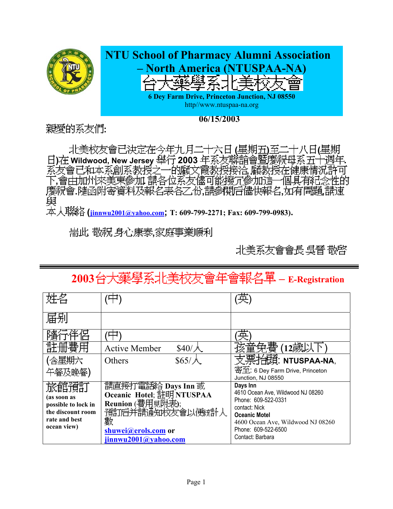

**06/15/2003**

親愛的系友們:

北美校友會已決定在今年九月二十六日(星期五)至 )在 Wildwood, New Jersey 舉行 2003 年系友聯誼會暨慶祝母系五十週年. **, ,會由加州來美東參加**) ∶B¶ |慶祝會.隨函附寄資料及報名表各乙份,請參閱后儘快報名,如有問題 龃

 **(jinnwu2001@yahoo.com; T: 609-799-2271; Fax: 609-799-0983).** 

**耑此 敬祝 身心康泰,家庭事業順利** 

北美系友會會長 吳晉 敬啓

# **2003 – E-Registration**

| $$40/\lambda$<br><b>Active Member</b>                                                                              | (12歲以                                                                                                                                                                                         |
|--------------------------------------------------------------------------------------------------------------------|-----------------------------------------------------------------------------------------------------------------------------------------------------------------------------------------------|
| $$65/\AA$<br>Others                                                                                                | 支票抬頭: NTUSPAA-NA,                                                                                                                                                                             |
|                                                                                                                    | 寄至: 6 Dey Farm Drive, Princeton<br>Junction, NJ 08550                                                                                                                                         |
| 請直接打電話給 Days Inn 或<br>Oceanic Hotel; 註明 NTUSPAA<br>Reunion (費用見附表);<br>預訂后并請通知校友會以便統計人<br>數<br>shuwei@erols.com or | Days Inn<br>4610 Ocean Ave, Wildwood NJ 08260<br>Phone: 609-522-0331<br>contact: Nick<br><b>Oceanic Motel</b><br>4600 Ocean Ave, Wildwood NJ 08260<br>Phone: 609-522-6500<br>Contact: Barbara |
|                                                                                                                    | jinnwu2001@yahoo.com                                                                                                                                                                          |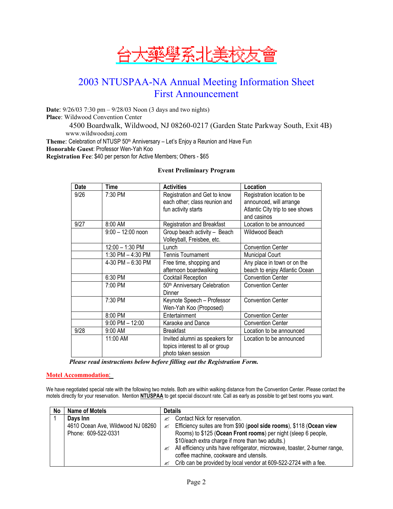

# 2003 NTUSPAA-NA Annual Meeting Information Sheet First Announcement

**Date**: 9/26/03 7:30 pm – 9/28/03 Noon (3 days and two nights) **Place**: Wildwood Convention Center 4500 Boardwalk, Wildwood, NJ 08260-0217 (Garden State Parkway South, Exit 4B) www.wildwoodsnj.com

Theme: Celebration of NTUSP 50<sup>th</sup> Anniversary - Let's Enjoy a Reunion and Have Fun

**Honorable Guest**: Professor Wen-Yah Koo

**Registration Fee**: \$40 per person for Active Members; Others - \$65

#### **Event Preliminary Program**

| <b>Date</b> | Time                | <b>Activities</b>                                                                        | Location                                                                                                 |  |
|-------------|---------------------|------------------------------------------------------------------------------------------|----------------------------------------------------------------------------------------------------------|--|
| 9/26        | 7:30 PM             | Registration and Get to know<br>each other; class reunion and<br>fun activity starts     | Registration location to be<br>announced, will arrange<br>Atlantic City trip to see shows<br>and casinos |  |
| 9/27        | 8:00 AM             | Registration and Breakfast                                                               | Location to be announced                                                                                 |  |
|             | $9:00 - 12:00$ noon | Group beach activity - Beach<br>Volleyball, Freisbee, etc.                               | Wildwood Beach                                                                                           |  |
|             | 12:00 - 1:30 PM     | Lunch                                                                                    | <b>Convention Center</b>                                                                                 |  |
|             | 1:30 PM - 4:30 PM   | <b>Tennis Tournament</b>                                                                 | <b>Municipal Court</b>                                                                                   |  |
|             | 4-30 PM - 6:30 PM   | Free time, shopping and<br>afternoon boardwalking                                        | Any place in town or on the<br>beach to enjoy Atlantic Ocean                                             |  |
|             | 6:30 PM             | Cocktail Reception                                                                       | <b>Convention Center</b>                                                                                 |  |
|             | 7:00 PM             | 50th Anniversary Celebration<br>Dinner                                                   | <b>Convention Center</b>                                                                                 |  |
|             | 7:30 PM             | Keynote Speech - Professor<br>Wen-Yah Koo (Proposed)                                     | <b>Convention Center</b>                                                                                 |  |
|             | 8:00 PM             | Entertainment                                                                            | <b>Convention Center</b>                                                                                 |  |
|             | $9:00$ PM $- 12:00$ | Karaoke and Dance                                                                        | <b>Convention Center</b>                                                                                 |  |
| 9/28        | 9:00 AM             | <b>Breakfast</b>                                                                         | Location to be announced                                                                                 |  |
|             | 11:00 AM            | Invited alumni as speakers for<br>topics interest to all or group<br>photo taken session | Location to be announced                                                                                 |  |

*Please read instructions below before filling out the Registration Form.* 

#### **Motel Accommodation**:

We have negotiated special rate with the following two motels. Both are within walking distance from the Convention Center. Please contact the motels directly for your reservation. Mention **NTUSPAA** to get special discount rate. Call as early as possible to get best rooms you want.

| No | Name of Motels                    | <b>Details</b>                                                                   |
|----|-----------------------------------|----------------------------------------------------------------------------------|
|    | Davs Inn                          | Contact Nick for reservation.<br>≤                                               |
|    | 4610 Ocean Ave, Wildwood NJ 08260 | Efficiency suites are from \$90 (pool side rooms), \$118 (Ocean view<br>≤        |
|    | Phone: 609-522-0331               | Rooms) to \$125 (Ocean Front rooms) per night (sleep 6 people,                   |
|    |                                   | \$10/each extra charge if more than two adults.)                                 |
|    |                                   | All efficiency units have refrigerator, microwave, toaster, 2-burner range,<br>≤ |
|    |                                   | coffee machine, cookware and utensils.                                           |
|    |                                   | Crib can be provided by local vendor at 609-522-2724 with a fee.<br>≤            |